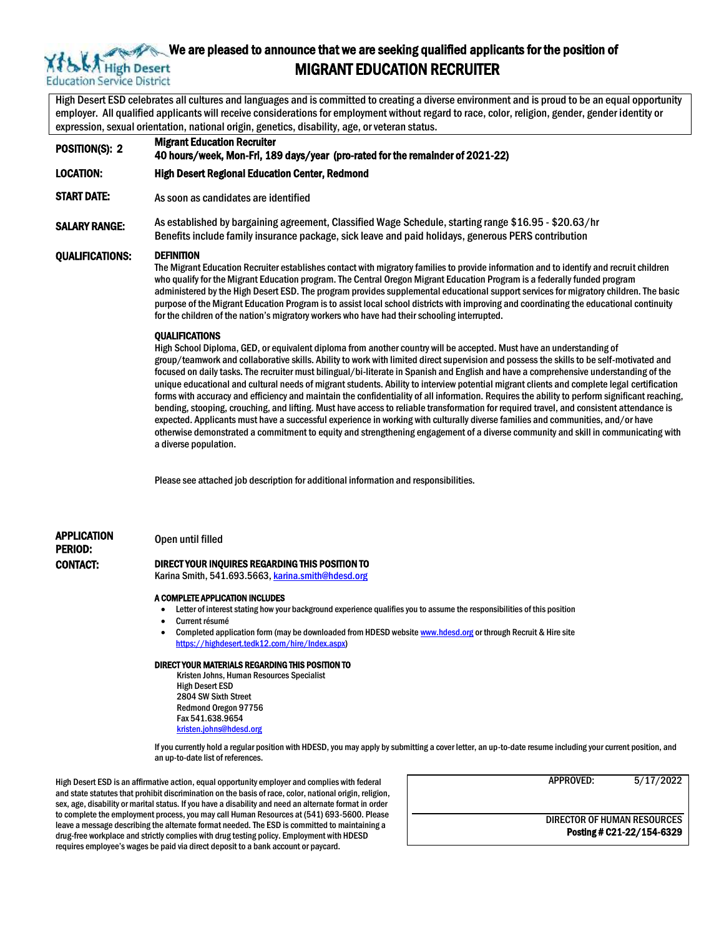## High Desert **Education Service District**

## We are pleased to announce that we are seeking qualified applicants for the position of MIGRANT EDUCATION RECRUITER

High Desert ESD celebrates all cultures and languages and is committed to creating a diverse environment and is proud to be an equal opportunity employer. All qualified applicants will receive considerations for employment without regard to race, color, religion, gender, gender identity or expression, sexual orientation, national origin, genetics, disability, age, or veteran status.

POSITION(S): 2 Migrant Education Recruiter 40 hours/week, Mon-Fri, 189 days/year (pro-rated for the remainder of 2021-22) LOCATION: High Desert Regional Education Center, Redmond START DATE: As soon as candidates are identified SALARY RANGE: As established by bargaining agreement, Classified Wage Schedule, starting range \$16.95 - \$20.63/hr Benefits include family insurance package, sick leave and paid holidays, generous PERS contribution QUALIFICATIONS: DEFINITION The Migrant Education Recruiter establishes contact with migratory families to provide information and to identify and recruit children who qualify for the Migrant Education program. The Central Oregon Migrant Education Program is a federally funded program administered by the High Desert ESD. The program provides supplemental educational support services for migratory children. The basic purpose of the Migrant Education Program is to assist local school districts with improving and coordinating the educational continuity for the children of the nation's migratory workers who have had their schooling interrupted. **OUALIFICATIONS** 

High School Diploma, GED, or equivalent diploma from another country will be accepted. Must have an understanding of group/teamwork and collaborative skills. Ability to work with limited direct supervision and possess the skills to be self-motivated and focused on daily tasks. The recruiter must bilingual/bi-literate in Spanish and English and have a comprehensive understanding of the unique educational and cultural needs of migrant students. Ability to interview potential migrant clients and complete legal certification forms with accuracy and efficiency and maintain the confidentiality of all information. Requires the ability to perform significant reaching, bending, stooping, crouching, and lifting. Must have access to reliable transformation for required travel, and consistent attendance is expected. Applicants must have a successful experience in working with culturally diverse families and communities, and/or have otherwise demonstrated a commitment to equity and strengthening engagement of a diverse community and skill in communicating with a diverse population.

Please see attached job description for additional information and responsibilities.

## APPLICATION

# PERIOD:

#### Open until filled

#### CONTACT: DIRECT YOUR INQUIRES REGARDING THIS POSITION TO

Karina Smith, 541.693.5663[, karina.smith@hdesd.org](mailto:karina.smith@hdesd.org)

#### A COMPLETE APPLICATION INCLUDES

- Letter of interest stating how your background experience qualifies you to assume the responsibilities of this position
- Current résumé
- Completed application form (may be downloaded from HDESD websit[e www.hdesd.org](http://www.hdesd.org/) or through Recruit & Hire site [https://highdesert.tedk12.com/hire/Index.aspx\)](https://highdesert.tedk12.com/hire/Index.aspx)

#### DIRECT YOUR MATERIALS REGARDING THIS POSITION TO

Kristen Johns, Human Resources Specialist High Desert ESD 2804 SW Sixth Street Redmond Oregon 97756 Fax 541.638.9654 [kristen.johns@hdesd.org](mailto:kristen.johns@hdesd.org)

If you currently hold a regular position with HDESD, you may apply by submitting a cover letter, an up-to-date resume including your current position, and an up-to-date list of references.

High Desert ESD is an affirmative action, equal opportunity employer and complies with federal and state statutes that prohibit discrimination on the basis of race, color, national origin, religion, sex, age, disability or marital status. If you have a disability and need an alternate format in order to complete the employment process, you may call Human Resources at (541) 693-5600. Please leave a message describing the alternate format needed. The ESD is committed to maintaining a drug-free workplace and strictly complies with drug testing policy. Employment with HDESD requires employee's wages be paid via direct deposit to a bank account or paycard.

| APPROVED:                                                | 5/17/2022 |
|----------------------------------------------------------|-----------|
| DIRECTOR OF HUMAN RESOURCES<br>Posting # C21-22/154-6329 |           |